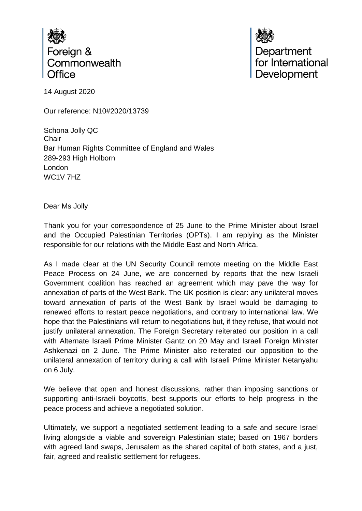

Department<br>for International Development

14 August 2020

Our reference: N10#2020/13739

Schona Jolly QC **Chair** Bar Human Rights Committee of England and Wales 289-293 High Holborn London WC1V 7HZ

Dear Ms Jolly

Thank you for your correspondence of 25 June to the Prime Minister about Israel and the Occupied Palestinian Territories (OPTs). I am replying as the Minister responsible for our relations with the Middle East and North Africa.

As I made clear at the UN Security Council remote meeting on the Middle East Peace Process on 24 June, we are concerned by reports that the new Israeli Government coalition has reached an agreement which may pave the way for annexation of parts of the West Bank. The UK position is clear: any unilateral moves toward annexation of parts of the West Bank by Israel would be damaging to renewed efforts to restart peace negotiations, and contrary to international law. We hope that the Palestinians will return to negotiations but, if they refuse, that would not justify unilateral annexation. The Foreign Secretary reiterated our position in a call with Alternate Israeli Prime Minister Gantz on 20 May and Israeli Foreign Minister Ashkenazi on 2 June. The Prime Minister also reiterated our opposition to the unilateral annexation of territory during a call with Israeli Prime Minister Netanyahu on 6 July.

We believe that open and honest discussions, rather than imposing sanctions or supporting anti-Israeli boycotts, best supports our efforts to help progress in the peace process and achieve a negotiated solution.

Ultimately, we support a negotiated settlement leading to a safe and secure Israel living alongside a viable and sovereign Palestinian state; based on 1967 borders with agreed land swaps, Jerusalem as the shared capital of both states, and a just, fair, agreed and realistic settlement for refugees.